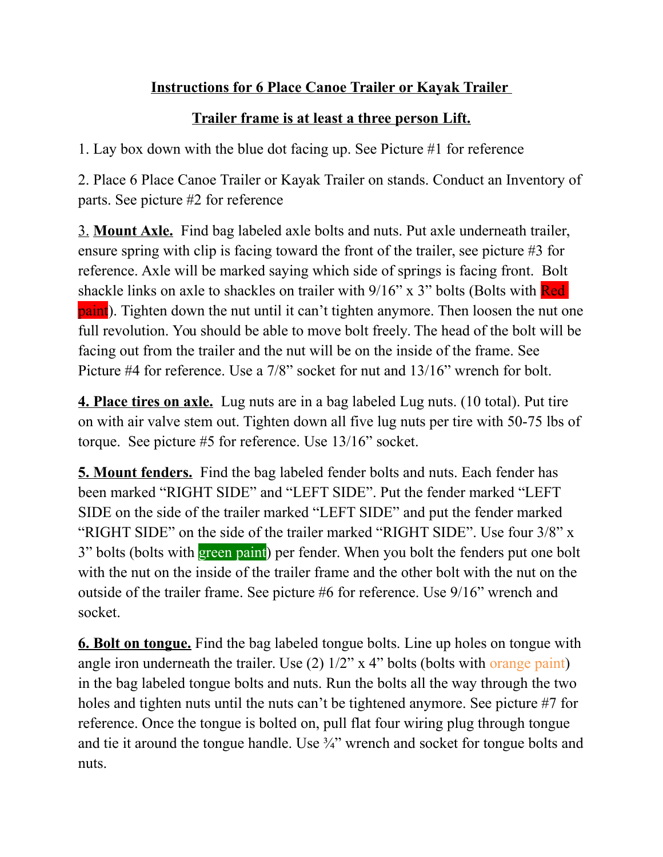## **Instructions for 6 Place Canoe Trailer or Kayak Trailer**

## **Trailer frame is at least a three person Lift.**

1. Lay box down with the blue dot facing up. See Picture #1 for reference

2. Place 6 Place Canoe Trailer or Kayak Trailer on stands. Conduct an Inventory of parts. See picture #2 for reference

3. **Mount Axle.** Find bag labeled axle bolts and nuts. Put axle underneath trailer, ensure spring with clip is facing toward the front of the trailer, see picture #3 for reference. Axle will be marked saying which side of springs is facing front. Bolt shackle links on axle to shackles on trailer with 9/16" x 3" bolts (Bolts with Red paint). Tighten down the nut until it can't tighten anymore. Then loosen the nut one full revolution. You should be able to move bolt freely. The head of the bolt will be facing out from the trailer and the nut will be on the inside of the frame. See Picture #4 for reference. Use a 7/8" socket for nut and 13/16" wrench for bolt.

**4. Place tires on axle.** Lug nuts are in a bag labeled Lug nuts. (10 total). Put tire on with air valve stem out. Tighten down all five lug nuts per tire with 50-75 lbs of torque. See picture #5 for reference. Use 13/16" socket.

**5. Mount fenders.** Find the bag labeled fender bolts and nuts. Each fender has been marked "RIGHT SIDE" and "LEFT SIDE". Put the fender marked "LEFT SIDE on the side of the trailer marked "LEFT SIDE" and put the fender marked "RIGHT SIDE" on the side of the trailer marked "RIGHT SIDE". Use four 3/8" x 3" bolts (bolts with green paint) per fender. When you bolt the fenders put one bolt with the nut on the inside of the trailer frame and the other bolt with the nut on the outside of the trailer frame. See picture #6 for reference. Use 9/16" wrench and socket.

**6. Bolt on tongue.** Find the bag labeled tongue bolts. Line up holes on tongue with angle iron underneath the trailer. Use (2) 1/2" x 4" bolts (bolts with orange paint) in the bag labeled tongue bolts and nuts. Run the bolts all the way through the two holes and tighten nuts until the nuts can't be tightened anymore. See picture #7 for reference. Once the tongue is bolted on, pull flat four wiring plug through tongue and tie it around the tongue handle. Use ¾" wrench and socket for tongue bolts and nuts.